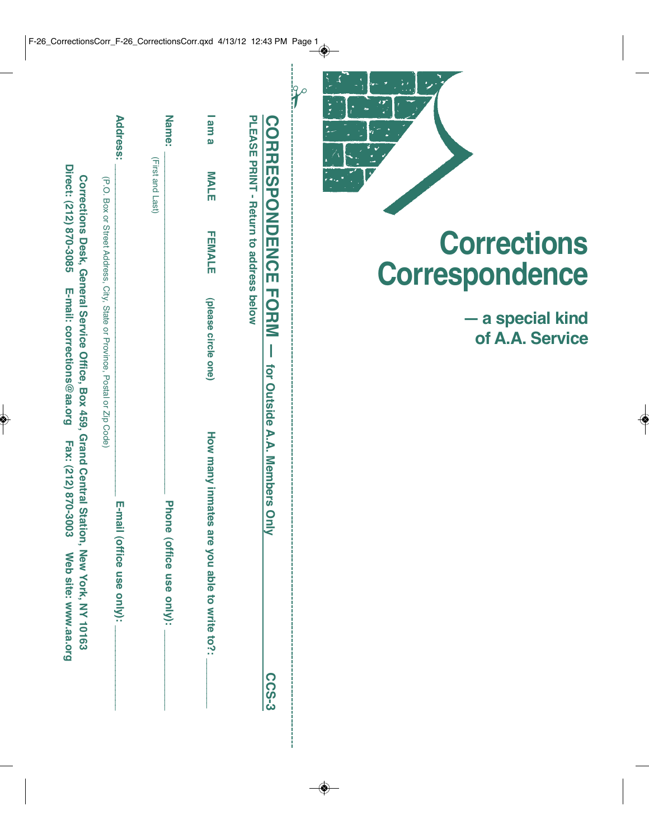|                 |                  |                                       |                                                                           | CORRESPONDENCE FORM - for Outside A.A. Members Only | <b>C-SO2</b> |
|-----------------|------------------|---------------------------------------|---------------------------------------------------------------------------|-----------------------------------------------------|--------------|
|                 |                  | PLEASE PARTI- Return to address pelow |                                                                           |                                                     |              |
| am a            | <b>MALE</b>      | <b>THMALE</b>                         | (please circle one)                                                       | How many inmates are you able to write to?:         |              |
| <b>Name:</b>    |                  |                                       |                                                                           | Phone (office use only):                            |              |
|                 | (First and Last) |                                       |                                                                           |                                                     |              |
| <b>Address:</b> |                  |                                       |                                                                           | E-mail (office use only):                           |              |
|                 |                  |                                       |                                                                           |                                                     |              |
|                 |                  |                                       | (P.O. Box or Street Address, City, State or Province, Postal or Zip Code) |                                                     |              |



**— a special kind of A.A. Service**